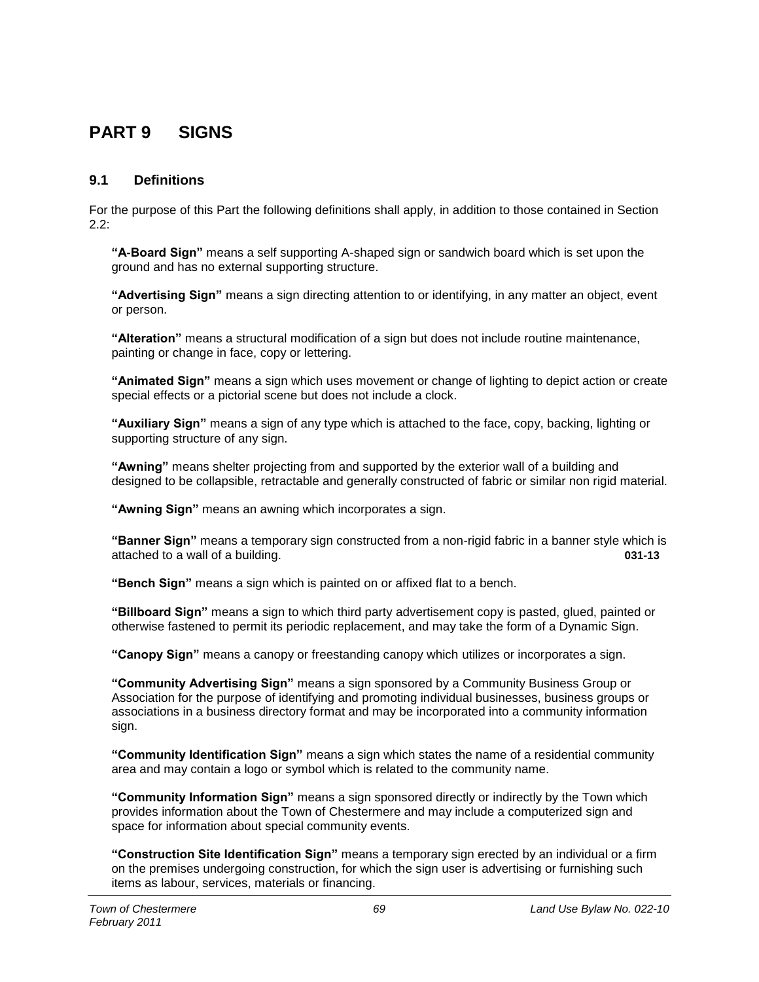# **PART 9 SIGNS**

# **9.1 Definitions**

For the purpose of this Part the following definitions shall apply, in addition to those contained in Section 2.2:

**"A-Board Sign"** means a self supporting A-shaped sign or sandwich board which is set upon the ground and has no external supporting structure.

**"Advertising Sign"** means a sign directing attention to or identifying, in any matter an object, event or person.

**"Alteration"** means a structural modification of a sign but does not include routine maintenance, painting or change in face, copy or lettering.

**"Animated Sign"** means a sign which uses movement or change of lighting to depict action or create special effects or a pictorial scene but does not include a clock.

**"Auxiliary Sign"** means a sign of any type which is attached to the face, copy, backing, lighting or supporting structure of any sign.

**"Awning"** means shelter projecting from and supported by the exterior wall of a building and designed to be collapsible, retractable and generally constructed of fabric or similar non rigid material.

**"Awning Sign"** means an awning which incorporates a sign.

**"Banner Sign"** means a temporary sign constructed from a non-rigid fabric in a banner style which is attached to a wall of a building. **031-13**

**"Bench Sign"** means a sign which is painted on or affixed flat to a bench.

**"Billboard Sign"** means a sign to which third party advertisement copy is pasted, glued, painted or otherwise fastened to permit its periodic replacement, and may take the form of a Dynamic Sign.

**"Canopy Sign"** means a canopy or freestanding canopy which utilizes or incorporates a sign.

**"Community Advertising Sign"** means a sign sponsored by a Community Business Group or Association for the purpose of identifying and promoting individual businesses, business groups or associations in a business directory format and may be incorporated into a community information sign.

**"Community Identification Sign"** means a sign which states the name of a residential community area and may contain a logo or symbol which is related to the community name.

**"Community Information Sign"** means a sign sponsored directly or indirectly by the Town which provides information about the Town of Chestermere and may include a computerized sign and space for information about special community events.

**"Construction Site Identification Sign"** means a temporary sign erected by an individual or a firm on the premises undergoing construction, for which the sign user is advertising or furnishing such items as labour, services, materials or financing.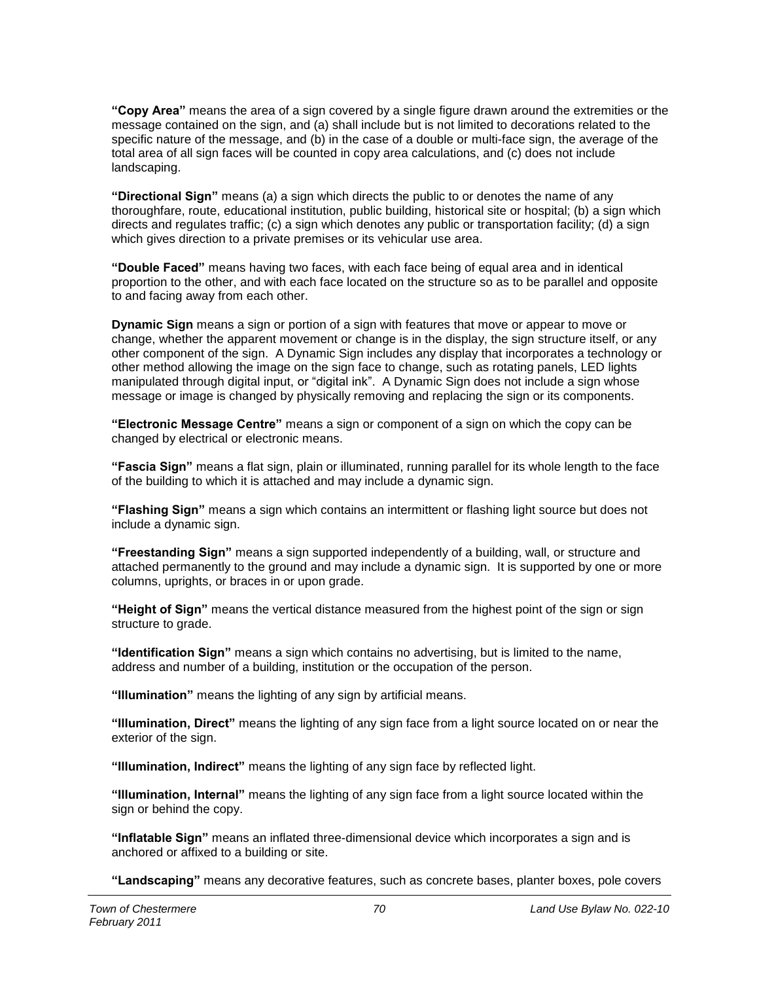**"Copy Area"** means the area of a sign covered by a single figure drawn around the extremities or the message contained on the sign, and (a) shall include but is not limited to decorations related to the specific nature of the message, and (b) in the case of a double or multi-face sign, the average of the total area of all sign faces will be counted in copy area calculations, and (c) does not include landscaping.

**"Directional Sign"** means (a) a sign which directs the public to or denotes the name of any thoroughfare, route, educational institution, public building, historical site or hospital; (b) a sign which directs and regulates traffic; (c) a sign which denotes any public or transportation facility; (d) a sign which gives direction to a private premises or its vehicular use area.

**"Double Faced"** means having two faces, with each face being of equal area and in identical proportion to the other, and with each face located on the structure so as to be parallel and opposite to and facing away from each other.

**Dynamic Sign** means a sign or portion of a sign with features that move or appear to move or change, whether the apparent movement or change is in the display, the sign structure itself, or any other component of the sign. A Dynamic Sign includes any display that incorporates a technology or other method allowing the image on the sign face to change, such as rotating panels, LED lights manipulated through digital input, or "digital ink". A Dynamic Sign does not include a sign whose message or image is changed by physically removing and replacing the sign or its components.

**"Electronic Message Centre"** means a sign or component of a sign on which the copy can be changed by electrical or electronic means.

**"Fascia Sign"** means a flat sign, plain or illuminated, running parallel for its whole length to the face of the building to which it is attached and may include a dynamic sign.

**"Flashing Sign"** means a sign which contains an intermittent or flashing light source but does not include a dynamic sign.

**"Freestanding Sign"** means a sign supported independently of a building, wall, or structure and attached permanently to the ground and may include a dynamic sign. It is supported by one or more columns, uprights, or braces in or upon grade.

**"Height of Sign"** means the vertical distance measured from the highest point of the sign or sign structure to grade.

**"Identification Sign"** means a sign which contains no advertising, but is limited to the name, address and number of a building, institution or the occupation of the person.

**"Illumination"** means the lighting of any sign by artificial means.

**"Illumination, Direct"** means the lighting of any sign face from a light source located on or near the exterior of the sign.

**"Illumination, Indirect"** means the lighting of any sign face by reflected light.

**"Illumination, Internal"** means the lighting of any sign face from a light source located within the sign or behind the copy.

**"Inflatable Sign"** means an inflated three-dimensional device which incorporates a sign and is anchored or affixed to a building or site.

**"Landscaping"** means any decorative features, such as concrete bases, planter boxes, pole covers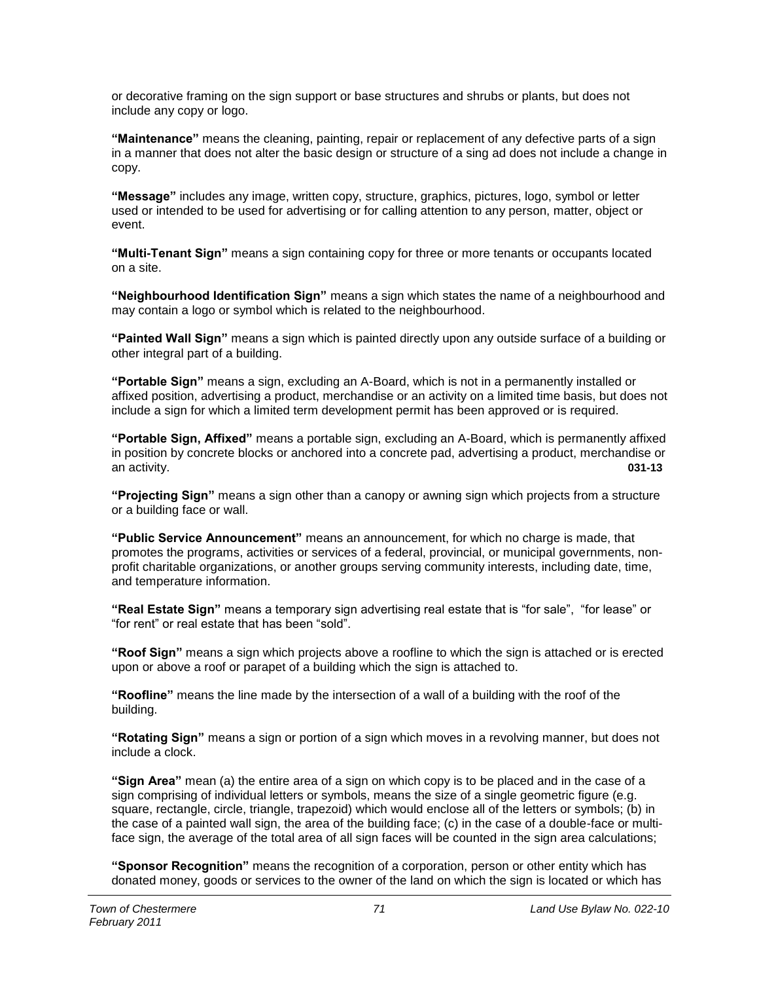or decorative framing on the sign support or base structures and shrubs or plants, but does not include any copy or logo.

**"Maintenance"** means the cleaning, painting, repair or replacement of any defective parts of a sign in a manner that does not alter the basic design or structure of a sing ad does not include a change in copy.

**"Message"** includes any image, written copy, structure, graphics, pictures, logo, symbol or letter used or intended to be used for advertising or for calling attention to any person, matter, object or event.

**"Multi-Tenant Sign"** means a sign containing copy for three or more tenants or occupants located on a site.

**"Neighbourhood Identification Sign"** means a sign which states the name of a neighbourhood and may contain a logo or symbol which is related to the neighbourhood.

**"Painted Wall Sign"** means a sign which is painted directly upon any outside surface of a building or other integral part of a building.

**"Portable Sign"** means a sign, excluding an A-Board, which is not in a permanently installed or affixed position, advertising a product, merchandise or an activity on a limited time basis, but does not include a sign for which a limited term development permit has been approved or is required.

**"Portable Sign, Affixed"** means a portable sign, excluding an A-Board, which is permanently affixed in position by concrete blocks or anchored into a concrete pad, advertising a product, merchandise or an activity. **031-13**

**"Projecting Sign"** means a sign other than a canopy or awning sign which projects from a structure or a building face or wall.

**"Public Service Announcement"** means an announcement, for which no charge is made, that promotes the programs, activities or services of a federal, provincial, or municipal governments, nonprofit charitable organizations, or another groups serving community interests, including date, time, and temperature information.

**"Real Estate Sign"** means a temporary sign advertising real estate that is "for sale", "for lease" or "for rent" or real estate that has been "sold".

**"Roof Sign"** means a sign which projects above a roofline to which the sign is attached or is erected upon or above a roof or parapet of a building which the sign is attached to.

**"Roofline"** means the line made by the intersection of a wall of a building with the roof of the building.

**"Rotating Sign"** means a sign or portion of a sign which moves in a revolving manner, but does not include a clock.

**"Sign Area"** mean (a) the entire area of a sign on which copy is to be placed and in the case of a sign comprising of individual letters or symbols, means the size of a single geometric figure (e.g. square, rectangle, circle, triangle, trapezoid) which would enclose all of the letters or symbols; (b) in the case of a painted wall sign, the area of the building face; (c) in the case of a double-face or multiface sign, the average of the total area of all sign faces will be counted in the sign area calculations;

**"Sponsor Recognition"** means the recognition of a corporation, person or other entity which has donated money, goods or services to the owner of the land on which the sign is located or which has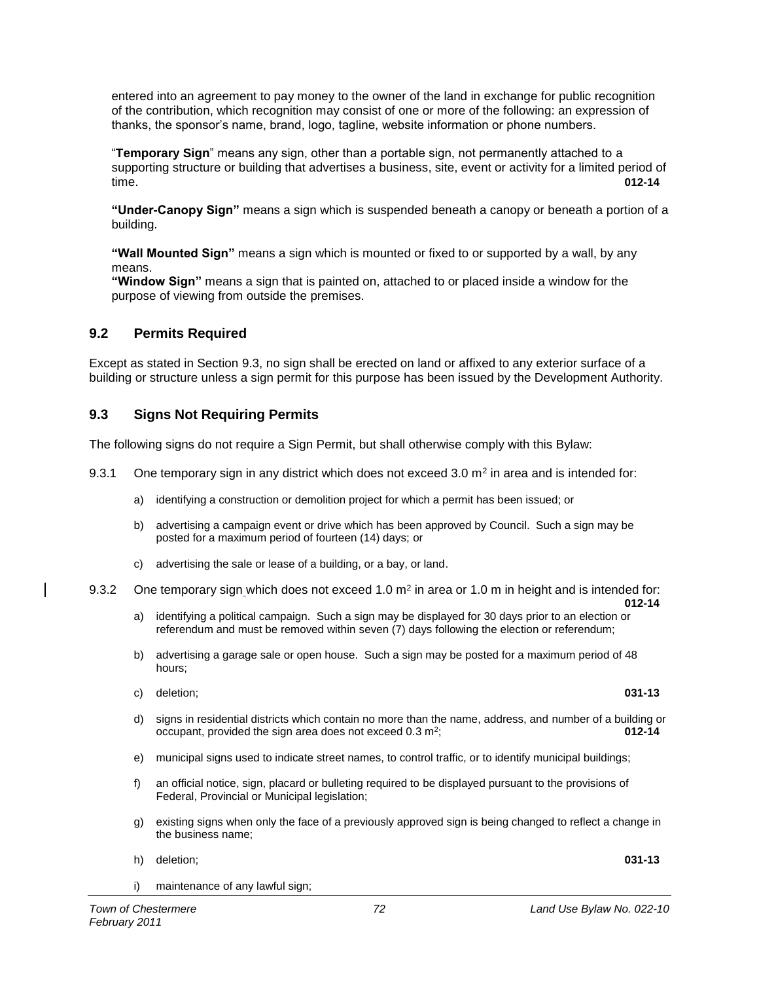entered into an agreement to pay money to the owner of the land in exchange for public recognition of the contribution, which recognition may consist of one or more of the following: an expression of thanks, the sponsor's name, brand, logo, tagline, website information or phone numbers.

"**Temporary Sign**" means any sign, other than a portable sign, not permanently attached to a supporting structure or building that advertises a business, site, event or activity for a limited period of time. **012-14**

**"Under-Canopy Sign"** means a sign which is suspended beneath a canopy or beneath a portion of a building.

**"Wall Mounted Sign"** means a sign which is mounted or fixed to or supported by a wall, by any means.

**"Window Sign"** means a sign that is painted on, attached to or placed inside a window for the purpose of viewing from outside the premises.

# **9.2 Permits Required**

Except as stated in Section 9.3, no sign shall be erected on land or affixed to any exterior surface of a building or structure unless a sign permit for this purpose has been issued by the Development Authority.

# **9.3 Signs Not Requiring Permits**

The following signs do not require a Sign Permit, but shall otherwise comply with this Bylaw:

- 9.3.1 One temporary sign in any district which does not exceed 3.0  $m^2$  in area and is intended for:
	- a) identifying a construction or demolition project for which a permit has been issued; or
	- b) advertising a campaign event or drive which has been approved by Council. Such a sign may be posted for a maximum period of fourteen (14) days; or
	- c) advertising the sale or lease of a building, or a bay, or land.
- 9.3.2 One temporary sign\_which does not exceed 1.0 m<sup>2</sup> in area or 1.0 m in height and is intended for: **012-14**
	- a) identifying a political campaign. Such a sign may be displayed for 30 days prior to an election or referendum and must be removed within seven (7) days following the election or referendum;
	- b) advertising a garage sale or open house. Such a sign may be posted for a maximum period of 48 hours;
	- c) deletion; **031-13**
	- d) signs in residential districts which contain no more than the name, address, and number of a building or occupant, provided the sign area does not exceed  $0.3 \text{ m}^2$ ; ; **012-14**
	- e) municipal signs used to indicate street names, to control traffic, or to identify municipal buildings;
	- f) an official notice, sign, placard or bulleting required to be displayed pursuant to the provisions of Federal, Provincial or Municipal legislation;
	- g) existing signs when only the face of a previously approved sign is being changed to reflect a change in the business name;
	- h) deletion; **031-13**
	- i) maintenance of any lawful sign;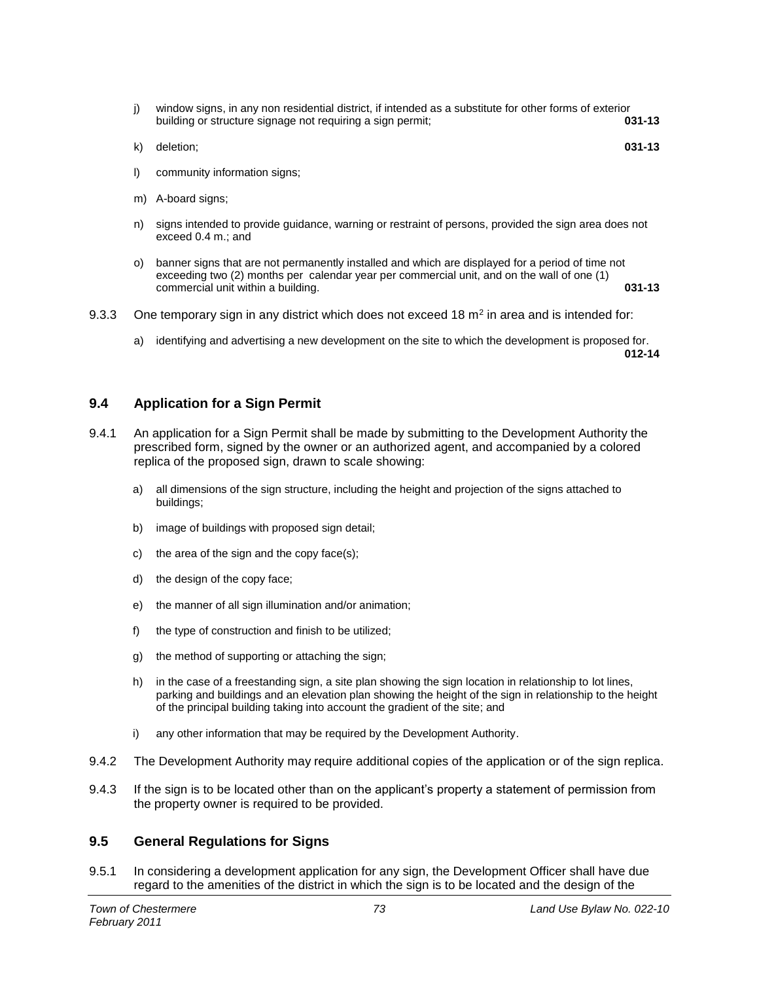- j) window signs, in any non residential district, if intended as a substitute for other forms of exterior<br>**031-13** building or structure signage not requiring a sign permit: building or structure signage not requiring a sign permit; **031-13**
- k) deletion; **031-13**
- l) community information signs;
- m) A-board signs;
- n) signs intended to provide guidance, warning or restraint of persons, provided the sign area does not exceed 0.4 m.; and
- o) banner signs that are not permanently installed and which are displayed for a period of time not exceeding two (2) months per calendar year per commercial unit, and on the wall of one (1) commercial unit within a building. **031-13**
- 9.3.3 One temporary sign in any district which does not exceed 18  $m<sup>2</sup>$  in area and is intended for:
	- a) identifying and advertising a new development on the site to which the development is proposed for. **012-14**

## **9.4 Application for a Sign Permit**

- 9.4.1 An application for a Sign Permit shall be made by submitting to the Development Authority the prescribed form, signed by the owner or an authorized agent, and accompanied by a colored replica of the proposed sign, drawn to scale showing:
	- a) all dimensions of the sign structure, including the height and projection of the signs attached to buildings;
	- b) image of buildings with proposed sign detail;
	- c) the area of the sign and the copy face(s);
	- d) the design of the copy face;
	- e) the manner of all sign illumination and/or animation;
	- f) the type of construction and finish to be utilized;
	- g) the method of supporting or attaching the sign;
	- h) in the case of a freestanding sign, a site plan showing the sign location in relationship to lot lines, parking and buildings and an elevation plan showing the height of the sign in relationship to the height of the principal building taking into account the gradient of the site; and
	- i) any other information that may be required by the Development Authority.
- 9.4.2 The Development Authority may require additional copies of the application or of the sign replica.
- 9.4.3 If the sign is to be located other than on the applicant's property a statement of permission from the property owner is required to be provided.

## **9.5 General Regulations for Signs**

9.5.1 In considering a development application for any sign, the Development Officer shall have due regard to the amenities of the district in which the sign is to be located and the design of the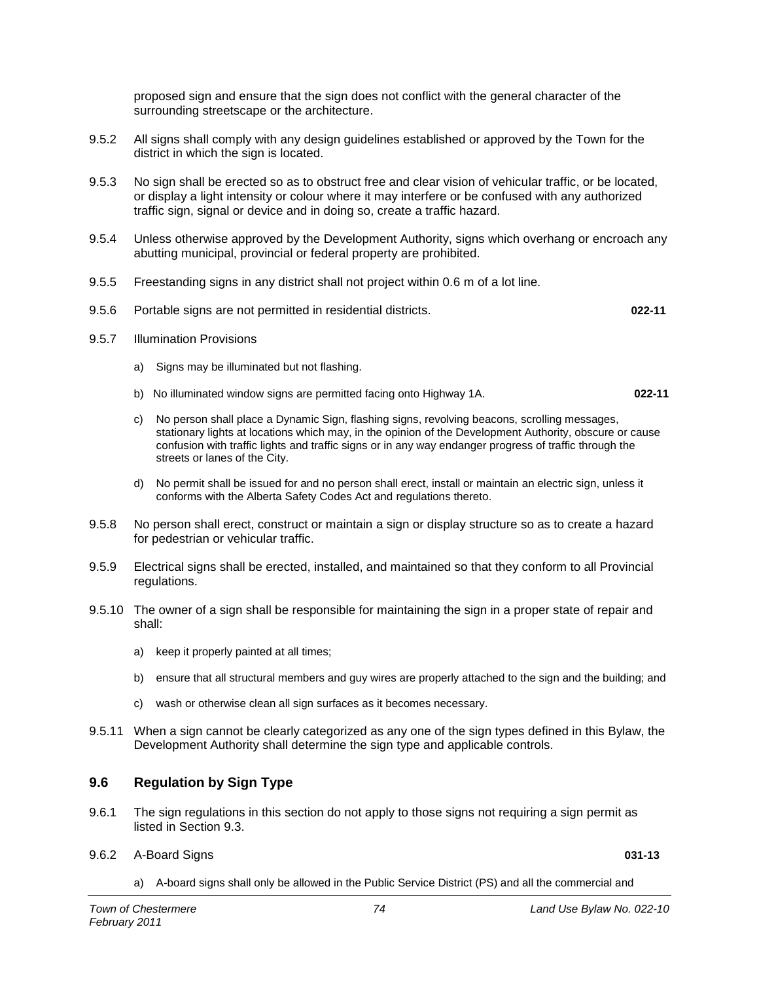proposed sign and ensure that the sign does not conflict with the general character of the surrounding streetscape or the architecture.

- 9.5.2 All signs shall comply with any design guidelines established or approved by the Town for the district in which the sign is located.
- 9.5.3 No sign shall be erected so as to obstruct free and clear vision of vehicular traffic, or be located, or display a light intensity or colour where it may interfere or be confused with any authorized traffic sign, signal or device and in doing so, create a traffic hazard.
- 9.5.4 Unless otherwise approved by the Development Authority, signs which overhang or encroach any abutting municipal, provincial or federal property are prohibited.
- 9.5.5 Freestanding signs in any district shall not project within 0.6 m of a lot line.
- 9.5.6 Portable signs are not permitted in residential districts. **022-11**
- 9.5.7 Illumination Provisions
	- a) Signs may be illuminated but not flashing.
	- b) No illuminated window signs are permitted facing onto Highway 1A. **022-11**
	- c) No person shall place a Dynamic Sign, flashing signs, revolving beacons, scrolling messages, stationary lights at locations which may, in the opinion of the Development Authority, obscure or cause confusion with traffic lights and traffic signs or in any way endanger progress of traffic through the streets or lanes of the City.
	- d) No permit shall be issued for and no person shall erect, install or maintain an electric sign, unless it conforms with the Alberta Safety Codes Act and regulations thereto.
- 9.5.8 No person shall erect, construct or maintain a sign or display structure so as to create a hazard for pedestrian or vehicular traffic.
- 9.5.9 Electrical signs shall be erected, installed, and maintained so that they conform to all Provincial regulations.
- 9.5.10 The owner of a sign shall be responsible for maintaining the sign in a proper state of repair and shall:
	- a) keep it properly painted at all times;
	- b) ensure that all structural members and guy wires are properly attached to the sign and the building; and
	- c) wash or otherwise clean all sign surfaces as it becomes necessary.
- 9.5.11 When a sign cannot be clearly categorized as any one of the sign types defined in this Bylaw, the Development Authority shall determine the sign type and applicable controls.

## **9.6 Regulation by Sign Type**

- 9.6.1 The sign regulations in this section do not apply to those signs not requiring a sign permit as listed in Section 9.3.
- 9.6.2 A-Board Signs **031-13**
	- a) A-board signs shall only be allowed in the Public Service District (PS) and all the commercial and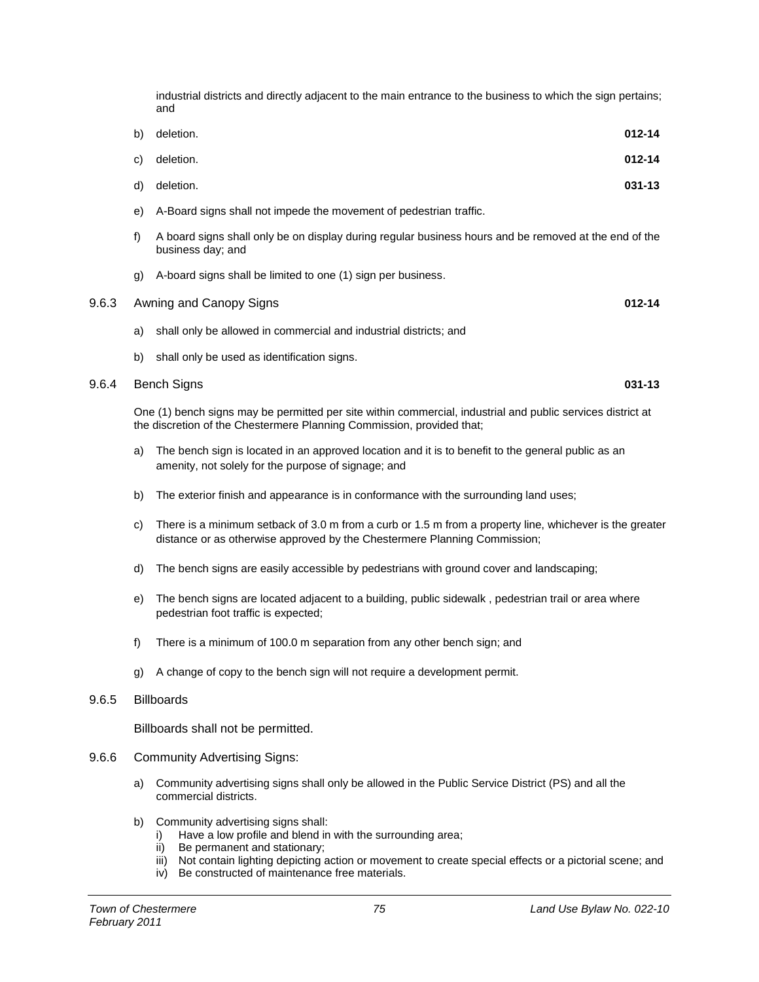industrial districts and directly adjacent to the main entrance to the business to which the sign pertains; and

| b) deletion. | $012 - 14$ |
|--------------|------------|
| c) deletion. | $012 - 14$ |
| d) deletion. | 031-13     |

- e) A-Board signs shall not impede the movement of pedestrian traffic.
- f) A board signs shall only be on display during regular business hours and be removed at the end of the business day; and
- g) A-board signs shall be limited to one (1) sign per business.

| 9.6.3 Awning and Canopy Signs | 012-14 |  |
|-------------------------------|--------|--|
|                               |        |  |

- a) shall only be allowed in commercial and industrial districts; and
- b) shall only be used as identification signs.

#### 9.6.4 Bench Signs **031-13**

One (1) bench signs may be permitted per site within commercial, industrial and public services district at the discretion of the Chestermere Planning Commission, provided that;

- a) The bench sign is located in an approved location and it is to benefit to the general public as an amenity, not solely for the purpose of signage; and
- b) The exterior finish and appearance is in conformance with the surrounding land uses;
- c) There is a minimum setback of 3.0 m from a curb or 1.5 m from a property line, whichever is the greater distance or as otherwise approved by the Chestermere Planning Commission;
- d) The bench signs are easily accessible by pedestrians with ground cover and landscaping;
- e) The bench signs are located adjacent to a building, public sidewalk , pedestrian trail or area where pedestrian foot traffic is expected;
- f) There is a minimum of 100.0 m separation from any other bench sign; and
- g) A change of copy to the bench sign will not require a development permit.

## 9.6.5 Billboards

Billboards shall not be permitted.

- 9.6.6 Community Advertising Signs:
	- a) Community advertising signs shall only be allowed in the Public Service District (PS) and all the commercial districts.
	- b) Community advertising signs shall:
		- i) Have a low profile and blend in with the surrounding area;
		- ii) Be permanent and stationary;
		- iii) Not contain lighting depicting action or movement to create special effects or a pictorial scene; and
		- iv) Be constructed of maintenance free materials.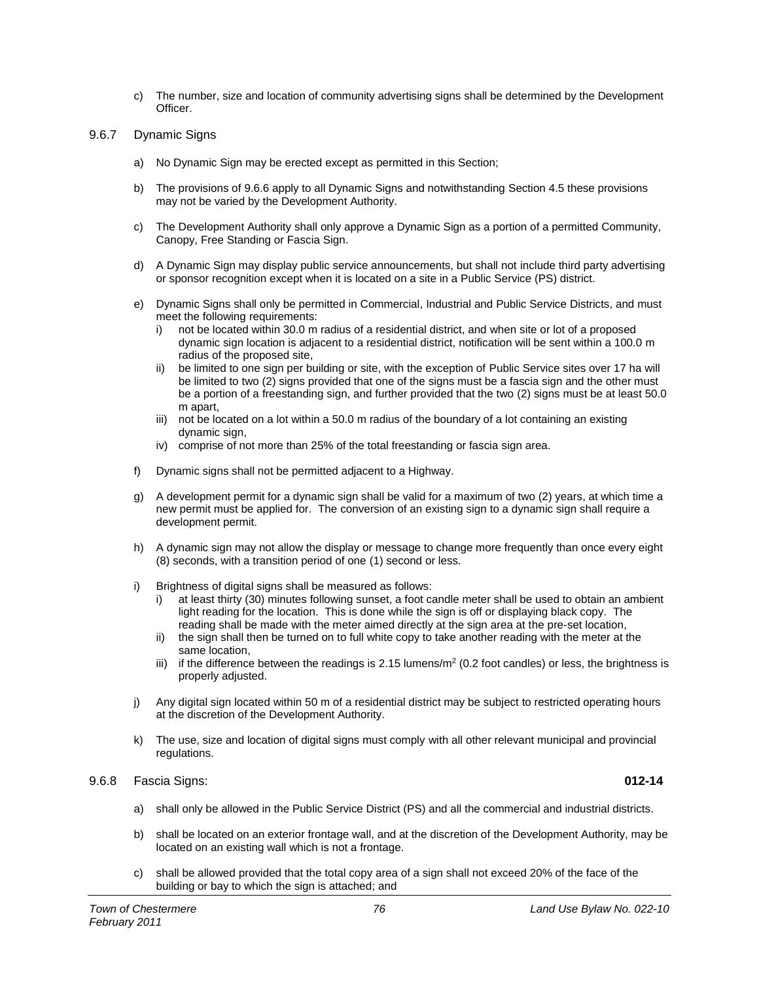c) The number, size and location of community advertising signs shall be determined by the Development Officer.

## 9.6.7 Dynamic Signs

- a) No Dynamic Sign may be erected except as permitted in this Section;
- b) The provisions of 9.6.6 apply to all Dynamic Signs and notwithstanding Section 4.5 these provisions may not be varied by the Development Authority.
- c) The Development Authority shall only approve a Dynamic Sign as a portion of a permitted Community, Canopy, Free Standing or Fascia Sign.
- d) A Dynamic Sign may display public service announcements, but shall not include third party advertising or sponsor recognition except when it is located on a site in a Public Service (PS) district.
- e) Dynamic Signs shall only be permitted in Commercial, Industrial and Public Service Districts, and must meet the following requirements:
	- i) not be located within 30.0 m radius of a residential district, and when site or lot of a proposed dynamic sign location is adjacent to a residential district, notification will be sent within a 100.0 m radius of the proposed site,
	- ii) be limited to one sign per building or site, with the exception of Public Service sites over 17 ha will be limited to two (2) signs provided that one of the signs must be a fascia sign and the other must be a portion of a freestanding sign, and further provided that the two (2) signs must be at least 50.0 m apart,
	- iii) not be located on a lot within a 50.0 m radius of the boundary of a lot containing an existing dynamic sign,
	- iv) comprise of not more than 25% of the total freestanding or fascia sign area.
- f) Dynamic signs shall not be permitted adjacent to a Highway.
- g) A development permit for a dynamic sign shall be valid for a maximum of two (2) years, at which time a new permit must be applied for. The conversion of an existing sign to a dynamic sign shall require a development permit.
- h) A dynamic sign may not allow the display or message to change more frequently than once every eight (8) seconds, with a transition period of one (1) second or less.
- i) Brightness of digital signs shall be measured as follows:
	- i) at least thirty (30) minutes following sunset, a foot candle meter shall be used to obtain an ambient light reading for the location. This is done while the sign is off or displaying black copy. The reading shall be made with the meter aimed directly at the sign area at the pre-set location,
	- ii) the sign shall then be turned on to full white copy to take another reading with the meter at the same location,
	- iii) if the difference between the readings is 2.15 lumens/ $m^2$  (0.2 foot candles) or less, the brightness is properly adjusted.
- j) Any digital sign located within 50 m of a residential district may be subject to restricted operating hours at the discretion of the Development Authority.
- k) The use, size and location of digital signs must comply with all other relevant municipal and provincial regulations.

## 9.6.8 Fascia Signs: **012-14**

- a) shall only be allowed in the Public Service District (PS) and all the commercial and industrial districts.
- b) shall be located on an exterior frontage wall, and at the discretion of the Development Authority, may be located on an existing wall which is not a frontage.
- c) shall be allowed provided that the total copy area of a sign shall not exceed 20% of the face of the building or bay to which the sign is attached; and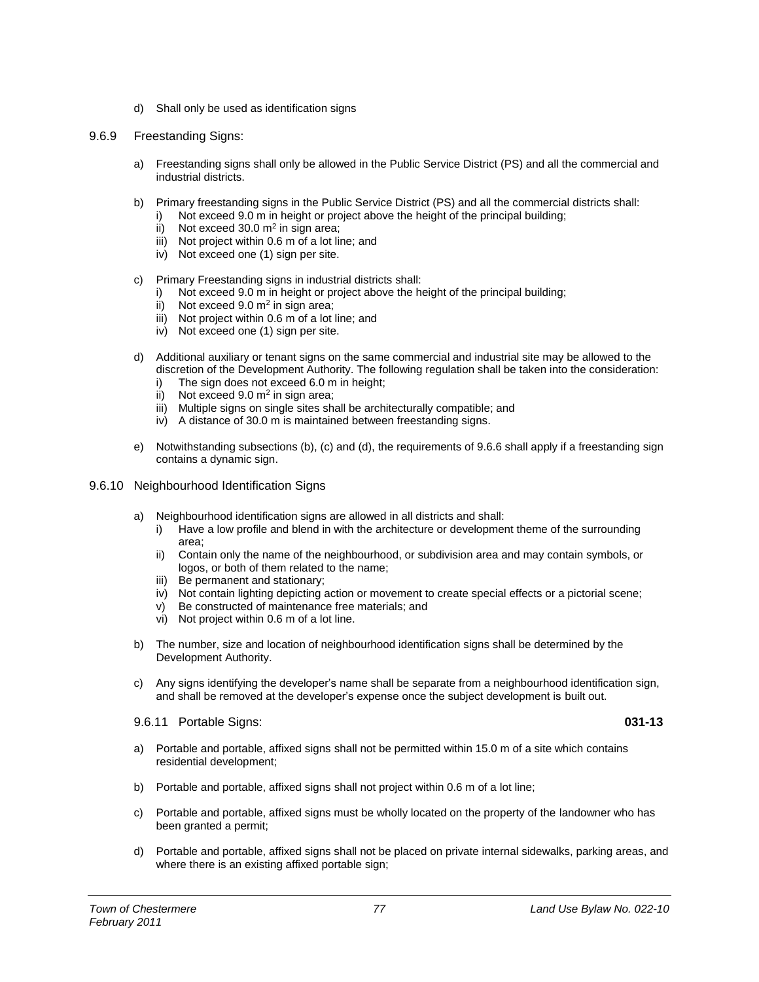- d) Shall only be used as identification signs
- 9.6.9 Freestanding Signs:
	- a) Freestanding signs shall only be allowed in the Public Service District (PS) and all the commercial and industrial districts.
	- b) Primary freestanding signs in the Public Service District (PS) and all the commercial districts shall:
		- Not exceed 9.0 m in height or project above the height of the principal building;
			- ii) Not exceed 30.0  $m^2$  in sign area;
			- iii) Not project within 0.6 m of a lot line; and
			- iv) Not exceed one (1) sign per site.
	- c) Primary Freestanding signs in industrial districts shall:
		- i) Not exceed 9.0 m in height or project above the height of the principal building;
		- ii) Not exceed  $9.0 \text{ m}^2$  in sign area;
		- iii) Not project within 0.6 m of a lot line; and
		- iv) Not exceed one (1) sign per site.
	- d) Additional auxiliary or tenant signs on the same commercial and industrial site may be allowed to the discretion of the Development Authority. The following regulation shall be taken into the consideration:
		- i) The sign does not exceed 6.0 m in height;
		- ii) Not exceed  $9.0 \text{ m}^2$  in sign area;
		- iii) Multiple signs on single sites shall be architecturally compatible; and
		- iv) A distance of 30.0 m is maintained between freestanding signs.
	- e) Notwithstanding subsections (b), (c) and (d), the requirements of 9.6.6 shall apply if a freestanding sign contains a dynamic sign.
- 9.6.10 Neighbourhood Identification Signs
	- a) Neighbourhood identification signs are allowed in all districts and shall:
		- i) Have a low profile and blend in with the architecture or development theme of the surrounding area;
		- ii) Contain only the name of the neighbourhood, or subdivision area and may contain symbols, or logos, or both of them related to the name;
		- iii) Be permanent and stationary;
		- iv) Not contain lighting depicting action or movement to create special effects or a pictorial scene;
		- v) Be constructed of maintenance free materials; and
		- vi) Not project within 0.6 m of a lot line.
	- b) The number, size and location of neighbourhood identification signs shall be determined by the Development Authority.
	- c) Any signs identifying the developer's name shall be separate from a neighbourhood identification sign, and shall be removed at the developer's expense once the subject development is built out.
	- 9.6.11 Portable Signs: **031-13**
	- a) Portable and portable, affixed signs shall not be permitted within 15.0 m of a site which contains residential development;
	- b) Portable and portable, affixed signs shall not project within 0.6 m of a lot line;
	- c) Portable and portable, affixed signs must be wholly located on the property of the landowner who has been granted a permit;
	- d) Portable and portable, affixed signs shall not be placed on private internal sidewalks, parking areas, and where there is an existing affixed portable sign;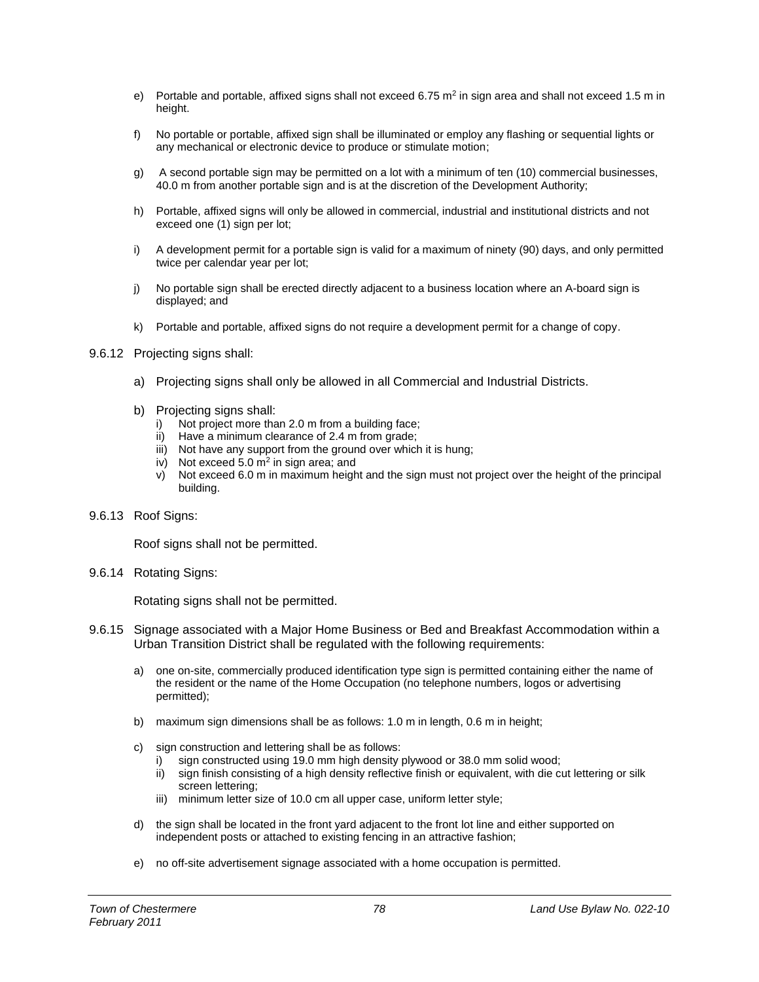- e) Portable and portable, affixed signs shall not exceed 6.75  $m^2$  in sign area and shall not exceed 1.5 m in height.
- f) No portable or portable, affixed sign shall be illuminated or employ any flashing or sequential lights or any mechanical or electronic device to produce or stimulate motion;
- g) A second portable sign may be permitted on a lot with a minimum of ten (10) commercial businesses, 40.0 m from another portable sign and is at the discretion of the Development Authority;
- h) Portable, affixed signs will only be allowed in commercial, industrial and institutional districts and not exceed one (1) sign per lot;
- i) A development permit for a portable sign is valid for a maximum of ninety (90) days, and only permitted twice per calendar year per lot;
- j) No portable sign shall be erected directly adjacent to a business location where an A-board sign is displayed; and
- k) Portable and portable, affixed signs do not require a development permit for a change of copy.
- 9.6.12 Projecting signs shall:
	- a) Projecting signs shall only be allowed in all Commercial and Industrial Districts.
	- b) Projecting signs shall:
		- i) Not project more than 2.0 m from a building face;
		- ii) Have a minimum clearance of 2.4 m from grade;
		- iii) Not have any support from the ground over which it is hung;
		- iv) Not exceed 5.0  $m^2$  in sign area; and
		- v) Not exceed 6.0 m in maximum height and the sign must not project over the height of the principal building.
- 9.6.13 Roof Signs:

Roof signs shall not be permitted.

9.6.14 Rotating Signs:

Rotating signs shall not be permitted.

- 9.6.15 Signage associated with a Major Home Business or Bed and Breakfast Accommodation within a Urban Transition District shall be regulated with the following requirements:
	- a) one on-site, commercially produced identification type sign is permitted containing either the name of the resident or the name of the Home Occupation (no telephone numbers, logos or advertising permitted);
	- b) maximum sign dimensions shall be as follows: 1.0 m in length, 0.6 m in height;
	- c) sign construction and lettering shall be as follows:
		- i) sign constructed using 19.0 mm high density plywood or 38.0 mm solid wood;
		- ii) sign finish consisting of a high density reflective finish or equivalent, with die cut lettering or silk screen lettering;
		- iii) minimum letter size of 10.0 cm all upper case, uniform letter style;
	- d) the sign shall be located in the front yard adjacent to the front lot line and either supported on independent posts or attached to existing fencing in an attractive fashion;
	- e) no off-site advertisement signage associated with a home occupation is permitted.